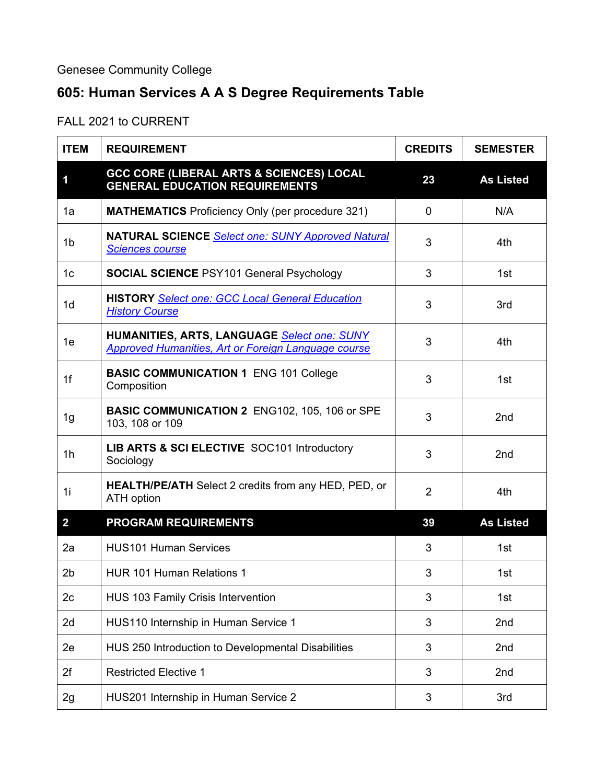## Genesee Community College

## **605: Human Services A A S Degree Requirements Table**

FALL 2021 to CURRENT

| <b>ITEM</b>    | <b>REQUIREMENT</b>                                                                                        | <b>CREDITS</b> | <b>SEMESTER</b>  |
|----------------|-----------------------------------------------------------------------------------------------------------|----------------|------------------|
| 1              | <b>GCC CORE (LIBERAL ARTS &amp; SCIENCES) LOCAL</b><br><b>GENERAL EDUCATION REQUIREMENTS</b>              | 23             | <b>As Listed</b> |
| 1a             | <b>MATHEMATICS</b> Proficiency Only (per procedure 321)                                                   | $\overline{0}$ | N/A              |
| 1 <sub>b</sub> | <b>NATURAL SCIENCE Select one: SUNY Approved Natural</b><br><b>Sciences course</b>                        | 3              | 4th              |
| 1c             | <b>SOCIAL SCIENCE PSY101 General Psychology</b>                                                           | 3              | 1st              |
| 1d             | <b>HISTORY Select one: GCC Local General Education</b><br><b>History Course</b>                           | 3              | 3rd              |
| 1e             | HUMANITIES, ARTS, LANGUAGE Select one: SUNY<br><b>Approved Humanities, Art or Foreign Language course</b> | 3              | 4th              |
| 1 <sup>f</sup> | <b>BASIC COMMUNICATION 1 ENG 101 College</b><br>Composition                                               | 3              | 1st              |
| 1g             | <b>BASIC COMMUNICATION 2 ENG102, 105, 106 or SPE</b><br>103, 108 or 109                                   | 3              | 2nd              |
| 1 <sub>h</sub> | LIB ARTS & SCI ELECTIVE SOC101 Introductory<br>Sociology                                                  | 3              | 2nd              |
| 1i             | <b>HEALTH/PE/ATH</b> Select 2 credits from any HED, PED, or<br><b>ATH</b> option                          | $\overline{2}$ | 4th              |
| $\overline{2}$ | <b>PROGRAM REQUIREMENTS</b>                                                                               | 39             | <b>As Listed</b> |
| 2a             | <b>HUS101 Human Services</b>                                                                              | 3              | 1st              |
| 2 <sub>b</sub> | <b>HUR 101 Human Relations 1</b>                                                                          | 3              | 1st              |
| 2 <sub>c</sub> | HUS 103 Family Crisis Intervention                                                                        | 3              | 1st              |
| 2d             | HUS110 Internship in Human Service 1                                                                      | 3              | 2nd              |
| 2e             | HUS 250 Introduction to Developmental Disabilities                                                        | 3              | 2nd              |
| 2f             | <b>Restricted Elective 1</b>                                                                              | 3              | 2nd              |
| 2g             | HUS201 Internship in Human Service 2                                                                      | 3              | 3rd              |